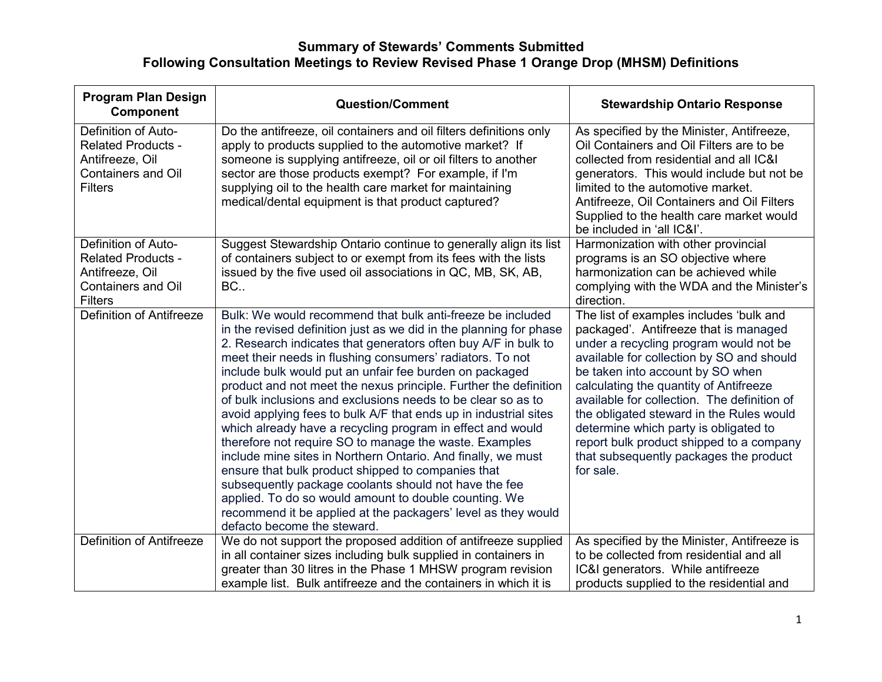| <b>Program Plan Design</b><br>Component                                                                            | <b>Question/Comment</b>                                                                                                                                                                                                                                                                                                                                                                                                                                                                                                                                                                                                                                                                                                                                                                                                                                                                                                                                                                            | <b>Stewardship Ontario Response</b>                                                                                                                                                                                                                                                                                                                                                                                                                                                          |
|--------------------------------------------------------------------------------------------------------------------|----------------------------------------------------------------------------------------------------------------------------------------------------------------------------------------------------------------------------------------------------------------------------------------------------------------------------------------------------------------------------------------------------------------------------------------------------------------------------------------------------------------------------------------------------------------------------------------------------------------------------------------------------------------------------------------------------------------------------------------------------------------------------------------------------------------------------------------------------------------------------------------------------------------------------------------------------------------------------------------------------|----------------------------------------------------------------------------------------------------------------------------------------------------------------------------------------------------------------------------------------------------------------------------------------------------------------------------------------------------------------------------------------------------------------------------------------------------------------------------------------------|
| Definition of Auto-<br><b>Related Products -</b><br>Antifreeze, Oil<br><b>Containers and Oil</b><br><b>Filters</b> | Do the antifreeze, oil containers and oil filters definitions only<br>apply to products supplied to the automotive market? If<br>someone is supplying antifreeze, oil or oil filters to another<br>sector are those products exempt? For example, if I'm<br>supplying oil to the health care market for maintaining<br>medical/dental equipment is that product captured?                                                                                                                                                                                                                                                                                                                                                                                                                                                                                                                                                                                                                          | As specified by the Minister, Antifreeze,<br>Oil Containers and Oil Filters are to be<br>collected from residential and all IC&I<br>generators. This would include but not be<br>limited to the automotive market.<br>Antifreeze, Oil Containers and Oil Filters<br>Supplied to the health care market would<br>be included in 'all IC&I'.                                                                                                                                                   |
| Definition of Auto-<br><b>Related Products -</b><br>Antifreeze, Oil<br><b>Containers and Oil</b><br><b>Filters</b> | Suggest Stewardship Ontario continue to generally align its list<br>of containers subject to or exempt from its fees with the lists<br>issued by the five used oil associations in QC, MB, SK, AB,<br>BC                                                                                                                                                                                                                                                                                                                                                                                                                                                                                                                                                                                                                                                                                                                                                                                           | Harmonization with other provincial<br>programs is an SO objective where<br>harmonization can be achieved while<br>complying with the WDA and the Minister's<br>direction.                                                                                                                                                                                                                                                                                                                   |
| <b>Definition of Antifreeze</b>                                                                                    | Bulk: We would recommend that bulk anti-freeze be included<br>in the revised definition just as we did in the planning for phase<br>2. Research indicates that generators often buy A/F in bulk to<br>meet their needs in flushing consumers' radiators. To not<br>include bulk would put an unfair fee burden on packaged<br>product and not meet the nexus principle. Further the definition<br>of bulk inclusions and exclusions needs to be clear so as to<br>avoid applying fees to bulk A/F that ends up in industrial sites<br>which already have a recycling program in effect and would<br>therefore not require SO to manage the waste. Examples<br>include mine sites in Northern Ontario. And finally, we must<br>ensure that bulk product shipped to companies that<br>subsequently package coolants should not have the fee<br>applied. To do so would amount to double counting. We<br>recommend it be applied at the packagers' level as they would<br>defacto become the steward. | The list of examples includes 'bulk and<br>packaged'. Antifreeze that is managed<br>under a recycling program would not be<br>available for collection by SO and should<br>be taken into account by SO when<br>calculating the quantity of Antifreeze<br>available for collection. The definition of<br>the obligated steward in the Rules would<br>determine which party is obligated to<br>report bulk product shipped to a company<br>that subsequently packages the product<br>for sale. |
| <b>Definition of Antifreeze</b>                                                                                    | We do not support the proposed addition of antifreeze supplied<br>in all container sizes including bulk supplied in containers in<br>greater than 30 litres in the Phase 1 MHSW program revision<br>example list. Bulk antifreeze and the containers in which it is                                                                                                                                                                                                                                                                                                                                                                                                                                                                                                                                                                                                                                                                                                                                | As specified by the Minister, Antifreeze is<br>to be collected from residential and all<br>IC&I generators. While antifreeze<br>products supplied to the residential and                                                                                                                                                                                                                                                                                                                     |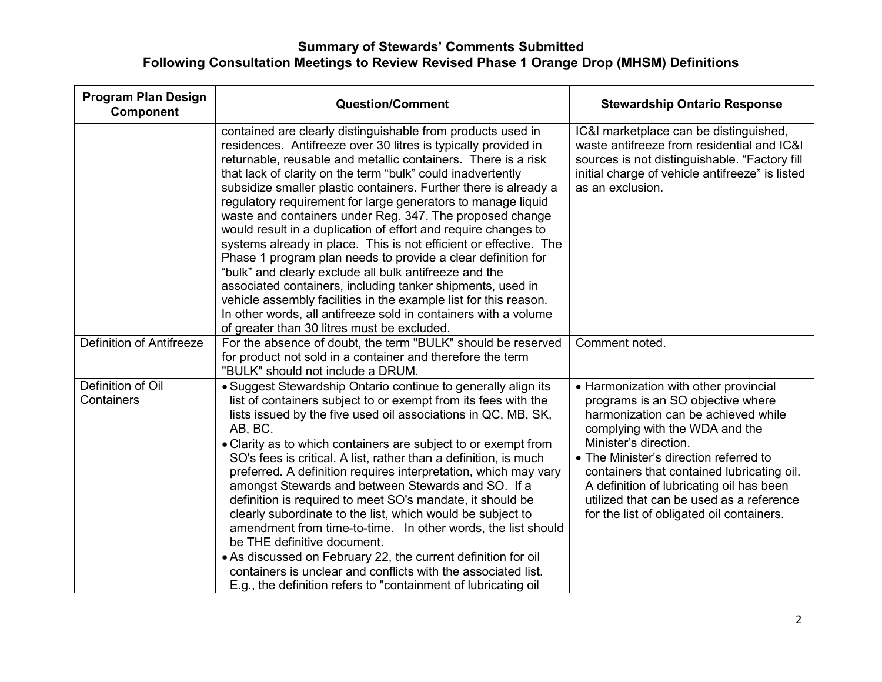| <b>Program Plan Design</b><br><b>Component</b> | <b>Question/Comment</b>                                                                                                                                                                                                                                                                                                                                                                                                                                                                                                                                                                                                                                                                                                                                                                                                                                                                                                                                                            | <b>Stewardship Ontario Response</b>                                                                                                                                                                                                                                                                                                                                                                       |
|------------------------------------------------|------------------------------------------------------------------------------------------------------------------------------------------------------------------------------------------------------------------------------------------------------------------------------------------------------------------------------------------------------------------------------------------------------------------------------------------------------------------------------------------------------------------------------------------------------------------------------------------------------------------------------------------------------------------------------------------------------------------------------------------------------------------------------------------------------------------------------------------------------------------------------------------------------------------------------------------------------------------------------------|-----------------------------------------------------------------------------------------------------------------------------------------------------------------------------------------------------------------------------------------------------------------------------------------------------------------------------------------------------------------------------------------------------------|
|                                                | contained are clearly distinguishable from products used in<br>residences. Antifreeze over 30 litres is typically provided in<br>returnable, reusable and metallic containers. There is a risk<br>that lack of clarity on the term "bulk" could inadvertently<br>subsidize smaller plastic containers. Further there is already a<br>regulatory requirement for large generators to manage liquid<br>waste and containers under Reg. 347. The proposed change<br>would result in a duplication of effort and require changes to<br>systems already in place. This is not efficient or effective. The<br>Phase 1 program plan needs to provide a clear definition for<br>"bulk" and clearly exclude all bulk antifreeze and the<br>associated containers, including tanker shipments, used in<br>vehicle assembly facilities in the example list for this reason.<br>In other words, all antifreeze sold in containers with a volume<br>of greater than 30 litres must be excluded. | IC&I marketplace can be distinguished,<br>waste antifreeze from residential and IC&I<br>sources is not distinguishable. "Factory fill<br>initial charge of vehicle antifreeze" is listed<br>as an exclusion.                                                                                                                                                                                              |
| <b>Definition of Antifreeze</b>                | For the absence of doubt, the term "BULK" should be reserved<br>for product not sold in a container and therefore the term<br>"BULK" should not include a DRUM.                                                                                                                                                                                                                                                                                                                                                                                                                                                                                                                                                                                                                                                                                                                                                                                                                    | Comment noted.                                                                                                                                                                                                                                                                                                                                                                                            |
| Definition of Oil<br>Containers                | • Suggest Stewardship Ontario continue to generally align its<br>list of containers subject to or exempt from its fees with the<br>lists issued by the five used oil associations in QC, MB, SK,<br>AB, BC.<br>• Clarity as to which containers are subject to or exempt from<br>SO's fees is critical. A list, rather than a definition, is much<br>preferred. A definition requires interpretation, which may vary<br>amongst Stewards and between Stewards and SO. If a<br>definition is required to meet SO's mandate, it should be<br>clearly subordinate to the list, which would be subject to<br>amendment from time-to-time. In other words, the list should<br>be THE definitive document.<br>• As discussed on February 22, the current definition for oil<br>containers is unclear and conflicts with the associated list.<br>E.g., the definition refers to "containment of lubricating oil                                                                           | • Harmonization with other provincial<br>programs is an SO objective where<br>harmonization can be achieved while<br>complying with the WDA and the<br>Minister's direction.<br>• The Minister's direction referred to<br>containers that contained lubricating oil.<br>A definition of lubricating oil has been<br>utilized that can be used as a reference<br>for the list of obligated oil containers. |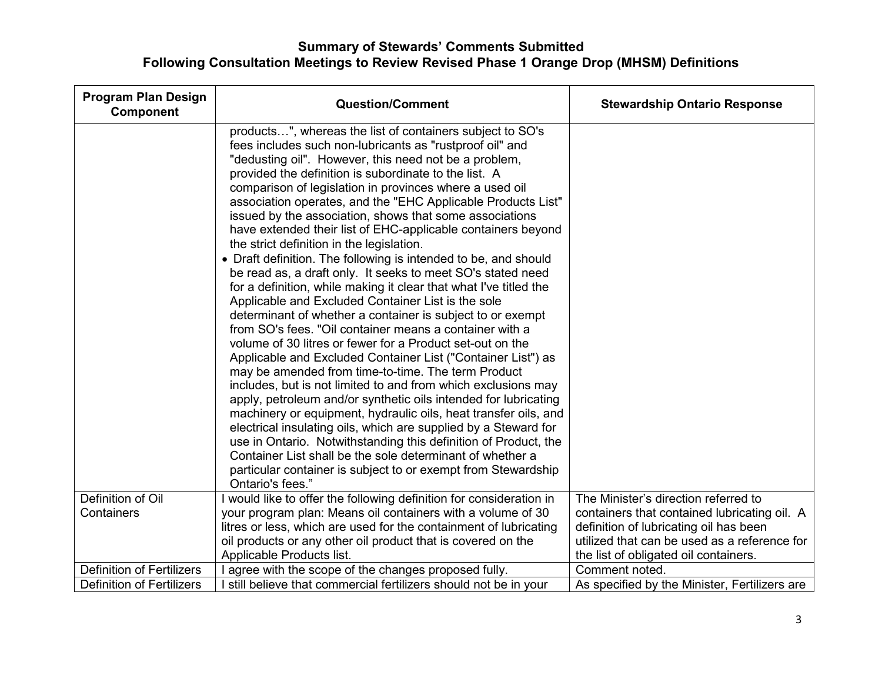| <b>Program Plan Design</b><br>Component | <b>Question/Comment</b>                                                                                                                                                                                                                                                                                                                                                                                                                                                                                                                                                                                                                                                                                                                                                                                                                                                                                                                                                                                                                                                                                                                                                                                                                                                                                                                                                                                                                                                                                                                                                                                            | <b>Stewardship Ontario Response</b>           |
|-----------------------------------------|--------------------------------------------------------------------------------------------------------------------------------------------------------------------------------------------------------------------------------------------------------------------------------------------------------------------------------------------------------------------------------------------------------------------------------------------------------------------------------------------------------------------------------------------------------------------------------------------------------------------------------------------------------------------------------------------------------------------------------------------------------------------------------------------------------------------------------------------------------------------------------------------------------------------------------------------------------------------------------------------------------------------------------------------------------------------------------------------------------------------------------------------------------------------------------------------------------------------------------------------------------------------------------------------------------------------------------------------------------------------------------------------------------------------------------------------------------------------------------------------------------------------------------------------------------------------------------------------------------------------|-----------------------------------------------|
|                                         | products", whereas the list of containers subject to SO's<br>fees includes such non-lubricants as "rustproof oil" and<br>"dedusting oil". However, this need not be a problem,<br>provided the definition is subordinate to the list. A<br>comparison of legislation in provinces where a used oil<br>association operates, and the "EHC Applicable Products List"<br>issued by the association, shows that some associations<br>have extended their list of EHC-applicable containers beyond<br>the strict definition in the legislation.<br>• Draft definition. The following is intended to be, and should<br>be read as, a draft only. It seeks to meet SO's stated need<br>for a definition, while making it clear that what I've titled the<br>Applicable and Excluded Container List is the sole<br>determinant of whether a container is subject to or exempt<br>from SO's fees. "Oil container means a container with a<br>volume of 30 litres or fewer for a Product set-out on the<br>Applicable and Excluded Container List ("Container List") as<br>may be amended from time-to-time. The term Product<br>includes, but is not limited to and from which exclusions may<br>apply, petroleum and/or synthetic oils intended for lubricating<br>machinery or equipment, hydraulic oils, heat transfer oils, and<br>electrical insulating oils, which are supplied by a Steward for<br>use in Ontario. Notwithstanding this definition of Product, the<br>Container List shall be the sole determinant of whether a<br>particular container is subject to or exempt from Stewardship<br>Ontario's fees." |                                               |
| Definition of Oil                       | would like to offer the following definition for consideration in                                                                                                                                                                                                                                                                                                                                                                                                                                                                                                                                                                                                                                                                                                                                                                                                                                                                                                                                                                                                                                                                                                                                                                                                                                                                                                                                                                                                                                                                                                                                                  | The Minister's direction referred to          |
| Containers                              | your program plan: Means oil containers with a volume of 30                                                                                                                                                                                                                                                                                                                                                                                                                                                                                                                                                                                                                                                                                                                                                                                                                                                                                                                                                                                                                                                                                                                                                                                                                                                                                                                                                                                                                                                                                                                                                        | containers that contained lubricating oil. A  |
|                                         | litres or less, which are used for the containment of lubricating                                                                                                                                                                                                                                                                                                                                                                                                                                                                                                                                                                                                                                                                                                                                                                                                                                                                                                                                                                                                                                                                                                                                                                                                                                                                                                                                                                                                                                                                                                                                                  | definition of lubricating oil has been        |
|                                         | oil products or any other oil product that is covered on the                                                                                                                                                                                                                                                                                                                                                                                                                                                                                                                                                                                                                                                                                                                                                                                                                                                                                                                                                                                                                                                                                                                                                                                                                                                                                                                                                                                                                                                                                                                                                       | utilized that can be used as a reference for  |
|                                         | Applicable Products list.                                                                                                                                                                                                                                                                                                                                                                                                                                                                                                                                                                                                                                                                                                                                                                                                                                                                                                                                                                                                                                                                                                                                                                                                                                                                                                                                                                                                                                                                                                                                                                                          | the list of obligated oil containers.         |
| <b>Definition of Fertilizers</b>        | agree with the scope of the changes proposed fully.                                                                                                                                                                                                                                                                                                                                                                                                                                                                                                                                                                                                                                                                                                                                                                                                                                                                                                                                                                                                                                                                                                                                                                                                                                                                                                                                                                                                                                                                                                                                                                | Comment noted.                                |
| <b>Definition of Fertilizers</b>        | still believe that commercial fertilizers should not be in your                                                                                                                                                                                                                                                                                                                                                                                                                                                                                                                                                                                                                                                                                                                                                                                                                                                                                                                                                                                                                                                                                                                                                                                                                                                                                                                                                                                                                                                                                                                                                    | As specified by the Minister, Fertilizers are |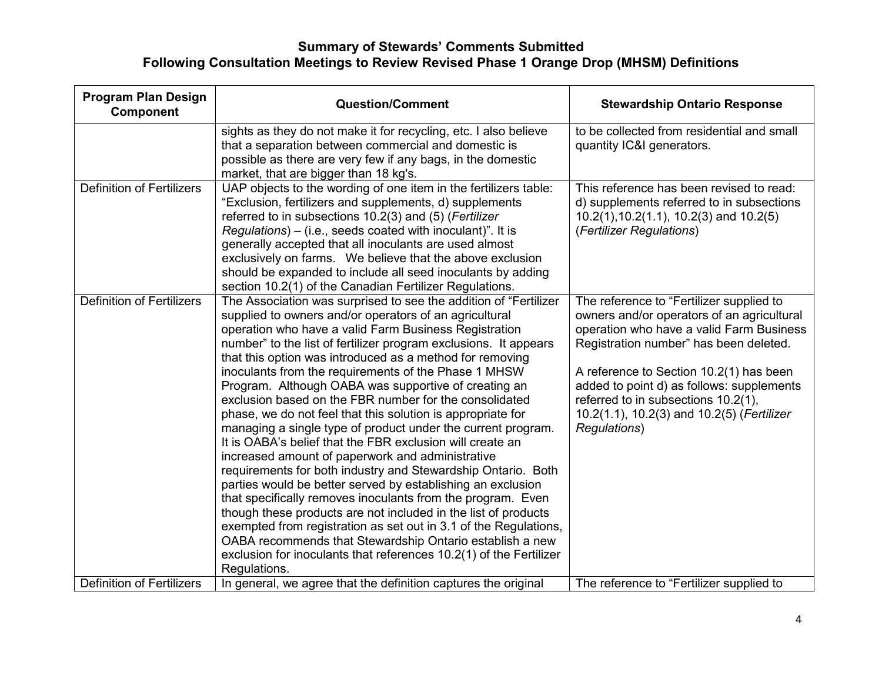| <b>Program Plan Design</b><br>Component | <b>Question/Comment</b>                                                                                                                                                                                                                                                                                                                                                                                                                                                                                                                                                                                                                                                                                                                                                                                                                                                                                                                                                                                                                                                                                                                                                                                                             | <b>Stewardship Ontario Response</b>                                                                                                                                                                                                                                                                                                                                       |
|-----------------------------------------|-------------------------------------------------------------------------------------------------------------------------------------------------------------------------------------------------------------------------------------------------------------------------------------------------------------------------------------------------------------------------------------------------------------------------------------------------------------------------------------------------------------------------------------------------------------------------------------------------------------------------------------------------------------------------------------------------------------------------------------------------------------------------------------------------------------------------------------------------------------------------------------------------------------------------------------------------------------------------------------------------------------------------------------------------------------------------------------------------------------------------------------------------------------------------------------------------------------------------------------|---------------------------------------------------------------------------------------------------------------------------------------------------------------------------------------------------------------------------------------------------------------------------------------------------------------------------------------------------------------------------|
|                                         | sights as they do not make it for recycling, etc. I also believe<br>that a separation between commercial and domestic is<br>possible as there are very few if any bags, in the domestic<br>market, that are bigger than 18 kg's.                                                                                                                                                                                                                                                                                                                                                                                                                                                                                                                                                                                                                                                                                                                                                                                                                                                                                                                                                                                                    | to be collected from residential and small<br>quantity IC&I generators.                                                                                                                                                                                                                                                                                                   |
| <b>Definition of Fertilizers</b>        | UAP objects to the wording of one item in the fertilizers table:<br>"Exclusion, fertilizers and supplements, d) supplements<br>referred to in subsections 10.2(3) and (5) (Fertilizer<br>$Regulations$ – (i.e., seeds coated with inoculant)". It is<br>generally accepted that all inoculants are used almost<br>exclusively on farms. We believe that the above exclusion<br>should be expanded to include all seed inoculants by adding<br>section 10.2(1) of the Canadian Fertilizer Regulations.                                                                                                                                                                                                                                                                                                                                                                                                                                                                                                                                                                                                                                                                                                                               | This reference has been revised to read:<br>d) supplements referred to in subsections<br>$10.2(1)$ , $10.2(1.1)$ , $10.2(3)$ and $10.2(5)$<br>(Fertilizer Regulations)                                                                                                                                                                                                    |
| <b>Definition of Fertilizers</b>        | The Association was surprised to see the addition of "Fertilizer<br>supplied to owners and/or operators of an agricultural<br>operation who have a valid Farm Business Registration<br>number" to the list of fertilizer program exclusions. It appears<br>that this option was introduced as a method for removing<br>inoculants from the requirements of the Phase 1 MHSW<br>Program. Although OABA was supportive of creating an<br>exclusion based on the FBR number for the consolidated<br>phase, we do not feel that this solution is appropriate for<br>managing a single type of product under the current program.<br>It is OABA's belief that the FBR exclusion will create an<br>increased amount of paperwork and administrative<br>requirements for both industry and Stewardship Ontario. Both<br>parties would be better served by establishing an exclusion<br>that specifically removes inoculants from the program. Even<br>though these products are not included in the list of products<br>exempted from registration as set out in 3.1 of the Regulations,<br>OABA recommends that Stewardship Ontario establish a new<br>exclusion for inoculants that references 10.2(1) of the Fertilizer<br>Regulations. | The reference to "Fertilizer supplied to<br>owners and/or operators of an agricultural<br>operation who have a valid Farm Business<br>Registration number" has been deleted.<br>A reference to Section 10.2(1) has been<br>added to point d) as follows: supplements<br>referred to in subsections 10.2(1),<br>10.2(1.1), 10.2(3) and 10.2(5) (Fertilizer<br>Regulations) |
| <b>Definition of Fertilizers</b>        | In general, we agree that the definition captures the original                                                                                                                                                                                                                                                                                                                                                                                                                                                                                                                                                                                                                                                                                                                                                                                                                                                                                                                                                                                                                                                                                                                                                                      | The reference to "Fertilizer supplied to                                                                                                                                                                                                                                                                                                                                  |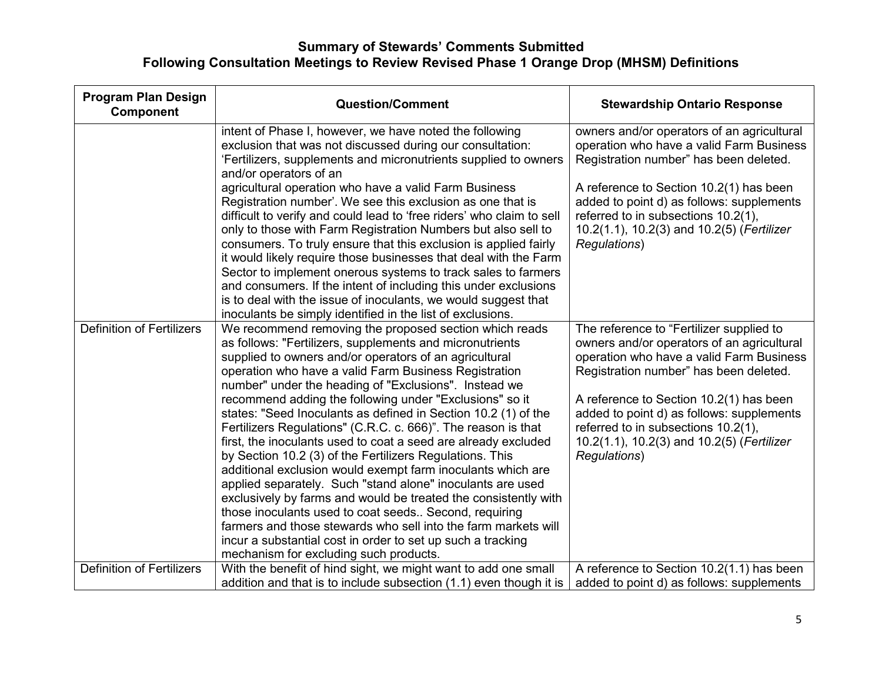| <b>Program Plan Design</b><br>Component | <b>Question/Comment</b>                                                                                                                                                                                                                                                                                                                                                                                                                                                                                                                                                                                                                                                                                                                                                                                                                                                                                                                                                                                                                                        | <b>Stewardship Ontario Response</b>                                                                                                                                                                                                                                                                                                                                       |
|-----------------------------------------|----------------------------------------------------------------------------------------------------------------------------------------------------------------------------------------------------------------------------------------------------------------------------------------------------------------------------------------------------------------------------------------------------------------------------------------------------------------------------------------------------------------------------------------------------------------------------------------------------------------------------------------------------------------------------------------------------------------------------------------------------------------------------------------------------------------------------------------------------------------------------------------------------------------------------------------------------------------------------------------------------------------------------------------------------------------|---------------------------------------------------------------------------------------------------------------------------------------------------------------------------------------------------------------------------------------------------------------------------------------------------------------------------------------------------------------------------|
|                                         | intent of Phase I, however, we have noted the following<br>exclusion that was not discussed during our consultation:<br>'Fertilizers, supplements and micronutrients supplied to owners<br>and/or operators of an<br>agricultural operation who have a valid Farm Business<br>Registration number'. We see this exclusion as one that is<br>difficult to verify and could lead to 'free riders' who claim to sell<br>only to those with Farm Registration Numbers but also sell to<br>consumers. To truly ensure that this exclusion is applied fairly<br>it would likely require those businesses that deal with the Farm<br>Sector to implement onerous systems to track sales to farmers<br>and consumers. If the intent of including this under exclusions                                                                                                                                                                                                                                                                                                 | owners and/or operators of an agricultural<br>operation who have a valid Farm Business<br>Registration number" has been deleted.<br>A reference to Section 10.2(1) has been<br>added to point d) as follows: supplements<br>referred to in subsections 10.2(1),<br>10.2(1.1), 10.2(3) and 10.2(5) (Fertilizer<br>Regulations)                                             |
|                                         | is to deal with the issue of inoculants, we would suggest that<br>inoculants be simply identified in the list of exclusions.                                                                                                                                                                                                                                                                                                                                                                                                                                                                                                                                                                                                                                                                                                                                                                                                                                                                                                                                   |                                                                                                                                                                                                                                                                                                                                                                           |
| <b>Definition of Fertilizers</b>        | We recommend removing the proposed section which reads<br>as follows: "Fertilizers, supplements and micronutrients<br>supplied to owners and/or operators of an agricultural<br>operation who have a valid Farm Business Registration<br>number" under the heading of "Exclusions". Instead we<br>recommend adding the following under "Exclusions" so it<br>states: "Seed Inoculants as defined in Section 10.2 (1) of the<br>Fertilizers Regulations" (C.R.C. c. 666)". The reason is that<br>first, the inoculants used to coat a seed are already excluded<br>by Section 10.2 (3) of the Fertilizers Regulations. This<br>additional exclusion would exempt farm inoculants which are<br>applied separately. Such "stand alone" inoculants are used<br>exclusively by farms and would be treated the consistently with<br>those inoculants used to coat seeds Second, requiring<br>farmers and those stewards who sell into the farm markets will<br>incur a substantial cost in order to set up such a tracking<br>mechanism for excluding such products. | The reference to "Fertilizer supplied to<br>owners and/or operators of an agricultural<br>operation who have a valid Farm Business<br>Registration number" has been deleted.<br>A reference to Section 10.2(1) has been<br>added to point d) as follows: supplements<br>referred to in subsections 10.2(1),<br>10.2(1.1), 10.2(3) and 10.2(5) (Fertilizer<br>Regulations) |
| <b>Definition of Fertilizers</b>        | With the benefit of hind sight, we might want to add one small                                                                                                                                                                                                                                                                                                                                                                                                                                                                                                                                                                                                                                                                                                                                                                                                                                                                                                                                                                                                 | A reference to Section 10.2(1.1) has been                                                                                                                                                                                                                                                                                                                                 |
|                                         | addition and that is to include subsection (1.1) even though it is                                                                                                                                                                                                                                                                                                                                                                                                                                                                                                                                                                                                                                                                                                                                                                                                                                                                                                                                                                                             | added to point d) as follows: supplements                                                                                                                                                                                                                                                                                                                                 |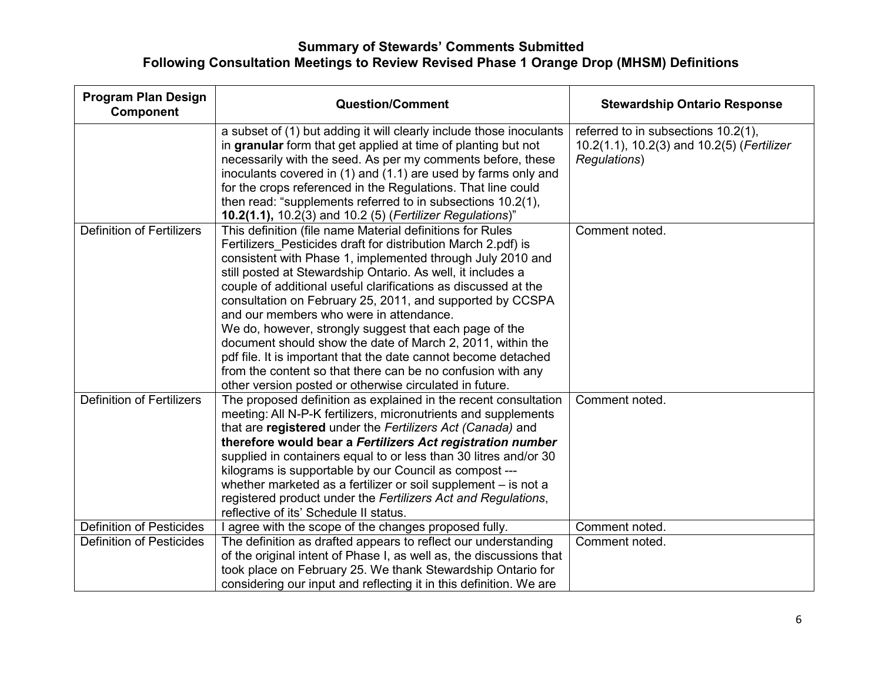| <b>Program Plan Design</b><br><b>Component</b> | <b>Question/Comment</b>                                                                                                                                                                                                                                                                                                                                                                                                                                                                                                                                                                                                                                                                                                                               | <b>Stewardship Ontario Response</b>                                                               |
|------------------------------------------------|-------------------------------------------------------------------------------------------------------------------------------------------------------------------------------------------------------------------------------------------------------------------------------------------------------------------------------------------------------------------------------------------------------------------------------------------------------------------------------------------------------------------------------------------------------------------------------------------------------------------------------------------------------------------------------------------------------------------------------------------------------|---------------------------------------------------------------------------------------------------|
|                                                | a subset of (1) but adding it will clearly include those inoculants<br>in granular form that get applied at time of planting but not<br>necessarily with the seed. As per my comments before, these<br>inoculants covered in (1) and (1.1) are used by farms only and<br>for the crops referenced in the Regulations. That line could<br>then read: "supplements referred to in subsections 10.2(1),<br>10.2(1.1), 10.2(3) and 10.2 (5) (Fertilizer Regulations)"                                                                                                                                                                                                                                                                                     | referred to in subsections 10.2(1),<br>10.2(1.1), 10.2(3) and 10.2(5) (Fertilizer<br>Regulations) |
| <b>Definition of Fertilizers</b>               | This definition (file name Material definitions for Rules<br>Fertilizers Pesticides draft for distribution March 2.pdf) is<br>consistent with Phase 1, implemented through July 2010 and<br>still posted at Stewardship Ontario. As well, it includes a<br>couple of additional useful clarifications as discussed at the<br>consultation on February 25, 2011, and supported by CCSPA<br>and our members who were in attendance.<br>We do, however, strongly suggest that each page of the<br>document should show the date of March 2, 2011, within the<br>pdf file. It is important that the date cannot become detached<br>from the content so that there can be no confusion with any<br>other version posted or otherwise circulated in future. | Comment noted.                                                                                    |
| <b>Definition of Fertilizers</b>               | The proposed definition as explained in the recent consultation<br>meeting: All N-P-K fertilizers, micronutrients and supplements<br>that are registered under the Fertilizers Act (Canada) and<br>therefore would bear a Fertilizers Act registration number<br>supplied in containers equal to or less than 30 litres and/or 30<br>kilograms is supportable by our Council as compost ---<br>whether marketed as a fertilizer or soil supplement – is not a<br>registered product under the Fertilizers Act and Regulations,<br>reflective of its' Schedule II status.                                                                                                                                                                              | Comment noted.                                                                                    |
| <b>Definition of Pesticides</b>                | agree with the scope of the changes proposed fully.                                                                                                                                                                                                                                                                                                                                                                                                                                                                                                                                                                                                                                                                                                   | Comment noted.                                                                                    |
| <b>Definition of Pesticides</b>                | The definition as drafted appears to reflect our understanding<br>of the original intent of Phase I, as well as, the discussions that<br>took place on February 25. We thank Stewardship Ontario for<br>considering our input and reflecting it in this definition. We are                                                                                                                                                                                                                                                                                                                                                                                                                                                                            | Comment noted.                                                                                    |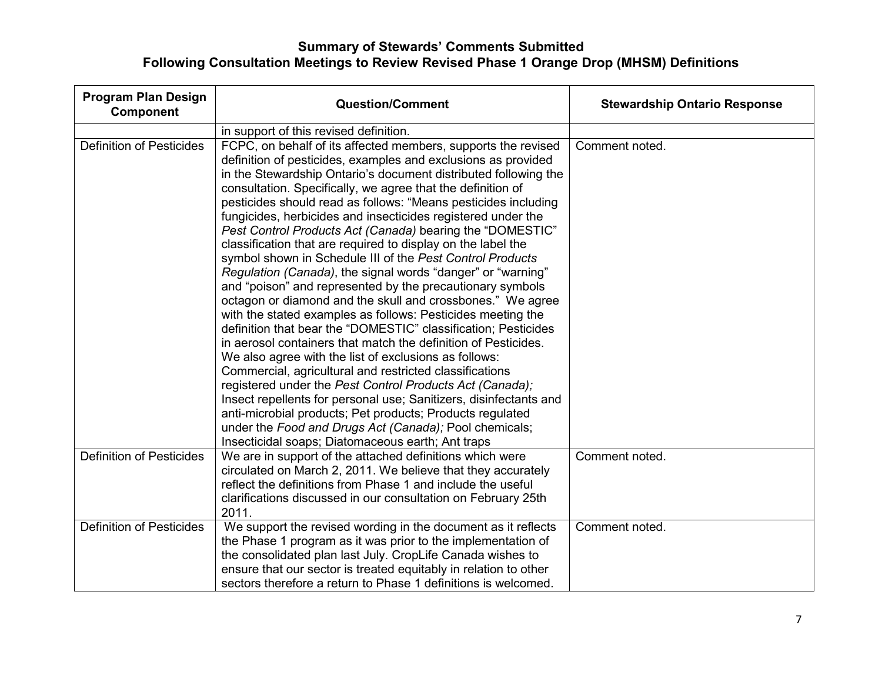| <b>Program Plan Design</b><br>Component | <b>Question/Comment</b>                                                                                                                                                                                                                                                                                                                                                                                                                                                                                                                                                                                                                                                                                                                                                                                                                                                                                                                                                                                                                                                                                                                                                                                                                                                                                                                                               | <b>Stewardship Ontario Response</b> |
|-----------------------------------------|-----------------------------------------------------------------------------------------------------------------------------------------------------------------------------------------------------------------------------------------------------------------------------------------------------------------------------------------------------------------------------------------------------------------------------------------------------------------------------------------------------------------------------------------------------------------------------------------------------------------------------------------------------------------------------------------------------------------------------------------------------------------------------------------------------------------------------------------------------------------------------------------------------------------------------------------------------------------------------------------------------------------------------------------------------------------------------------------------------------------------------------------------------------------------------------------------------------------------------------------------------------------------------------------------------------------------------------------------------------------------|-------------------------------------|
|                                         | in support of this revised definition.                                                                                                                                                                                                                                                                                                                                                                                                                                                                                                                                                                                                                                                                                                                                                                                                                                                                                                                                                                                                                                                                                                                                                                                                                                                                                                                                |                                     |
| <b>Definition of Pesticides</b>         | FCPC, on behalf of its affected members, supports the revised<br>definition of pesticides, examples and exclusions as provided<br>in the Stewardship Ontario's document distributed following the<br>consultation. Specifically, we agree that the definition of<br>pesticides should read as follows: "Means pesticides including<br>fungicides, herbicides and insecticides registered under the<br>Pest Control Products Act (Canada) bearing the "DOMESTIC"<br>classification that are required to display on the label the<br>symbol shown in Schedule III of the Pest Control Products<br>Regulation (Canada), the signal words "danger" or "warning"<br>and "poison" and represented by the precautionary symbols<br>octagon or diamond and the skull and crossbones." We agree<br>with the stated examples as follows: Pesticides meeting the<br>definition that bear the "DOMESTIC" classification; Pesticides<br>in aerosol containers that match the definition of Pesticides.<br>We also agree with the list of exclusions as follows:<br>Commercial, agricultural and restricted classifications<br>registered under the Pest Control Products Act (Canada);<br>Insect repellents for personal use; Sanitizers, disinfectants and<br>anti-microbial products; Pet products; Products regulated<br>under the Food and Drugs Act (Canada); Pool chemicals; | Comment noted.                      |
| <b>Definition of Pesticides</b>         | Insecticidal soaps; Diatomaceous earth; Ant traps<br>We are in support of the attached definitions which were<br>circulated on March 2, 2011. We believe that they accurately<br>reflect the definitions from Phase 1 and include the useful<br>clarifications discussed in our consultation on February 25th<br>2011.                                                                                                                                                                                                                                                                                                                                                                                                                                                                                                                                                                                                                                                                                                                                                                                                                                                                                                                                                                                                                                                | Comment noted.                      |
| <b>Definition of Pesticides</b>         | We support the revised wording in the document as it reflects<br>the Phase 1 program as it was prior to the implementation of<br>the consolidated plan last July. CropLife Canada wishes to<br>ensure that our sector is treated equitably in relation to other<br>sectors therefore a return to Phase 1 definitions is welcomed.                                                                                                                                                                                                                                                                                                                                                                                                                                                                                                                                                                                                                                                                                                                                                                                                                                                                                                                                                                                                                                     | Comment noted.                      |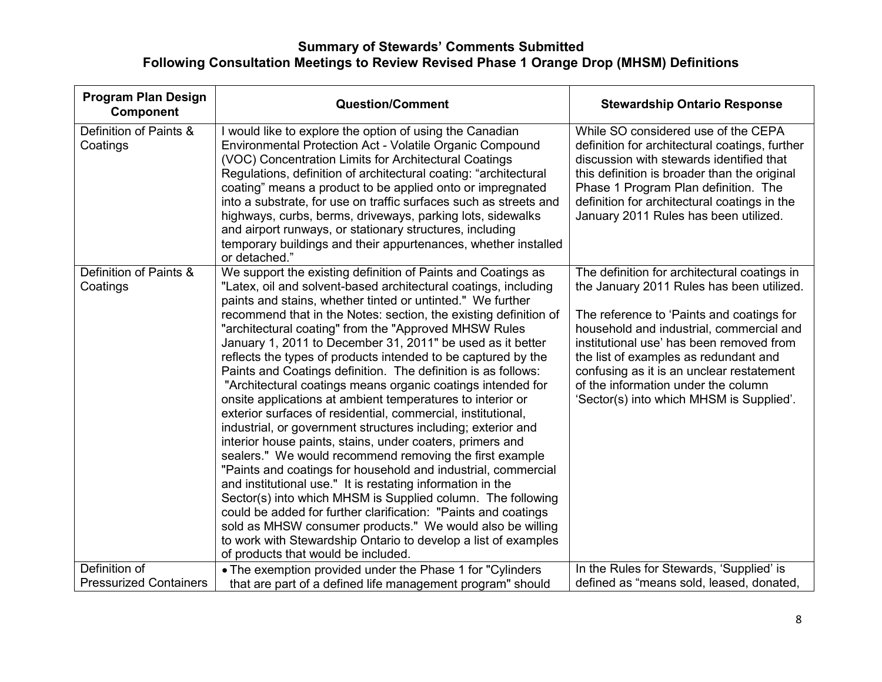| <b>Program Plan Design</b><br>Component | <b>Question/Comment</b>                                                                                                                                                                                                                                                                                                                                                                                                                                                                                                                                                                                                                                                                                                                                                                                                                                                                                                                                                                                                                                                                                                                                                                                                                                                                                                                                | <b>Stewardship Ontario Response</b>                                                                                                                                                                                                                                                                                                                                                                     |
|-----------------------------------------|--------------------------------------------------------------------------------------------------------------------------------------------------------------------------------------------------------------------------------------------------------------------------------------------------------------------------------------------------------------------------------------------------------------------------------------------------------------------------------------------------------------------------------------------------------------------------------------------------------------------------------------------------------------------------------------------------------------------------------------------------------------------------------------------------------------------------------------------------------------------------------------------------------------------------------------------------------------------------------------------------------------------------------------------------------------------------------------------------------------------------------------------------------------------------------------------------------------------------------------------------------------------------------------------------------------------------------------------------------|---------------------------------------------------------------------------------------------------------------------------------------------------------------------------------------------------------------------------------------------------------------------------------------------------------------------------------------------------------------------------------------------------------|
| Definition of Paints &<br>Coatings      | I would like to explore the option of using the Canadian<br>Environmental Protection Act - Volatile Organic Compound<br>(VOC) Concentration Limits for Architectural Coatings<br>Regulations, definition of architectural coating: "architectural<br>coating" means a product to be applied onto or impregnated<br>into a substrate, for use on traffic surfaces such as streets and<br>highways, curbs, berms, driveways, parking lots, sidewalks<br>and airport runways, or stationary structures, including<br>temporary buildings and their appurtenances, whether installed<br>or detached."                                                                                                                                                                                                                                                                                                                                                                                                                                                                                                                                                                                                                                                                                                                                                      | While SO considered use of the CEPA<br>definition for architectural coatings, further<br>discussion with stewards identified that<br>this definition is broader than the original<br>Phase 1 Program Plan definition. The<br>definition for architectural coatings in the<br>January 2011 Rules has been utilized.                                                                                      |
| Definition of Paints &<br>Coatings      | We support the existing definition of Paints and Coatings as<br>"Latex, oil and solvent-based architectural coatings, including<br>paints and stains, whether tinted or untinted." We further<br>recommend that in the Notes: section, the existing definition of<br>"architectural coating" from the "Approved MHSW Rules"<br>January 1, 2011 to December 31, 2011" be used as it better<br>reflects the types of products intended to be captured by the<br>Paints and Coatings definition. The definition is as follows:<br>"Architectural coatings means organic coatings intended for<br>onsite applications at ambient temperatures to interior or<br>exterior surfaces of residential, commercial, institutional,<br>industrial, or government structures including; exterior and<br>interior house paints, stains, under coaters, primers and<br>sealers." We would recommend removing the first example<br>"Paints and coatings for household and industrial, commercial<br>and institutional use." It is restating information in the<br>Sector(s) into which MHSM is Supplied column. The following<br>could be added for further clarification: "Paints and coatings<br>sold as MHSW consumer products." We would also be willing<br>to work with Stewardship Ontario to develop a list of examples<br>of products that would be included. | The definition for architectural coatings in<br>the January 2011 Rules has been utilized.<br>The reference to 'Paints and coatings for<br>household and industrial, commercial and<br>institutional use' has been removed from<br>the list of examples as redundant and<br>confusing as it is an unclear restatement<br>of the information under the column<br>'Sector(s) into which MHSM is Supplied'. |
| Definition of                           | • The exemption provided under the Phase 1 for "Cylinders"                                                                                                                                                                                                                                                                                                                                                                                                                                                                                                                                                                                                                                                                                                                                                                                                                                                                                                                                                                                                                                                                                                                                                                                                                                                                                             | In the Rules for Stewards, 'Supplied' is                                                                                                                                                                                                                                                                                                                                                                |
| <b>Pressurized Containers</b>           | that are part of a defined life management program" should                                                                                                                                                                                                                                                                                                                                                                                                                                                                                                                                                                                                                                                                                                                                                                                                                                                                                                                                                                                                                                                                                                                                                                                                                                                                                             | defined as "means sold, leased, donated,                                                                                                                                                                                                                                                                                                                                                                |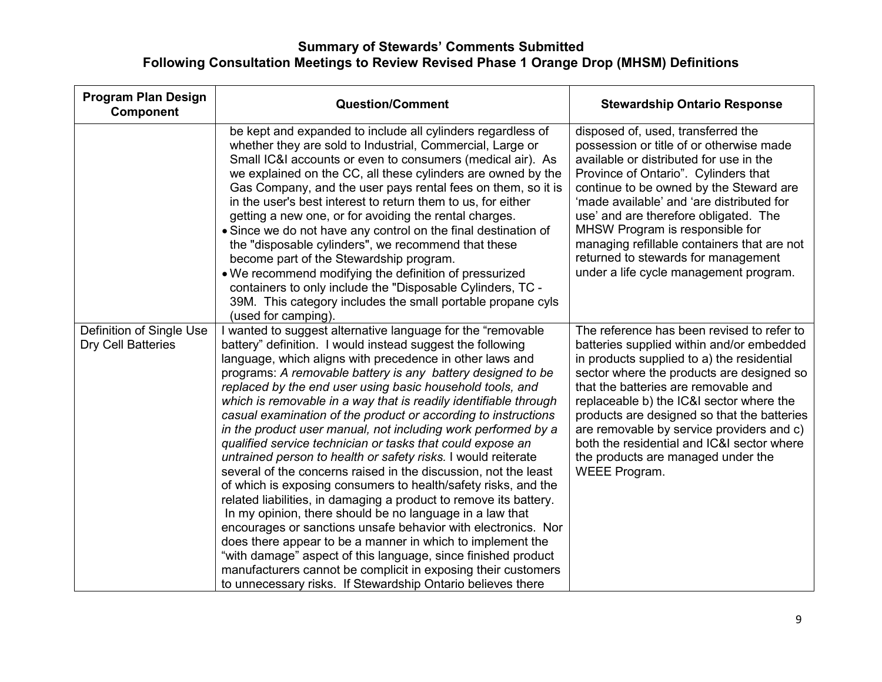| <b>Program Plan Design</b><br><b>Component</b>        | <b>Question/Comment</b>                                                                                                                                                                                                                                                                                                                                                                                                                                                                                                                                                                                                                                                                                                                                                                                                                                                                                                                                                                                                                                                                                                                                                                                                                                        | <b>Stewardship Ontario Response</b>                                                                                                                                                                                                                                                                                                                                                                                                                                     |
|-------------------------------------------------------|----------------------------------------------------------------------------------------------------------------------------------------------------------------------------------------------------------------------------------------------------------------------------------------------------------------------------------------------------------------------------------------------------------------------------------------------------------------------------------------------------------------------------------------------------------------------------------------------------------------------------------------------------------------------------------------------------------------------------------------------------------------------------------------------------------------------------------------------------------------------------------------------------------------------------------------------------------------------------------------------------------------------------------------------------------------------------------------------------------------------------------------------------------------------------------------------------------------------------------------------------------------|-------------------------------------------------------------------------------------------------------------------------------------------------------------------------------------------------------------------------------------------------------------------------------------------------------------------------------------------------------------------------------------------------------------------------------------------------------------------------|
|                                                       | be kept and expanded to include all cylinders regardless of<br>whether they are sold to Industrial, Commercial, Large or<br>Small IC&I accounts or even to consumers (medical air). As<br>we explained on the CC, all these cylinders are owned by the<br>Gas Company, and the user pays rental fees on them, so it is<br>in the user's best interest to return them to us, for either<br>getting a new one, or for avoiding the rental charges.<br>• Since we do not have any control on the final destination of<br>the "disposable cylinders", we recommend that these<br>become part of the Stewardship program.<br>• We recommend modifying the definition of pressurized<br>containers to only include the "Disposable Cylinders, TC -<br>39M. This category includes the small portable propane cyls<br>(used for camping).                                                                                                                                                                                                                                                                                                                                                                                                                             | disposed of, used, transferred the<br>possession or title of or otherwise made<br>available or distributed for use in the<br>Province of Ontario". Cylinders that<br>continue to be owned by the Steward are<br>'made available' and 'are distributed for<br>use' and are therefore obligated. The<br>MHSW Program is responsible for<br>managing refillable containers that are not<br>returned to stewards for management<br>under a life cycle management program.   |
| Definition of Single Use<br><b>Dry Cell Batteries</b> | I wanted to suggest alternative language for the "removable"<br>battery" definition. I would instead suggest the following<br>language, which aligns with precedence in other laws and<br>programs: A removable battery is any battery designed to be<br>replaced by the end user using basic household tools, and<br>which is removable in a way that is readily identifiable through<br>casual examination of the product or according to instructions<br>in the product user manual, not including work performed by a<br>qualified service technician or tasks that could expose an<br>untrained person to health or safety risks. I would reiterate<br>several of the concerns raised in the discussion, not the least<br>of which is exposing consumers to health/safety risks, and the<br>related liabilities, in damaging a product to remove its battery.<br>In my opinion, there should be no language in a law that<br>encourages or sanctions unsafe behavior with electronics. Nor<br>does there appear to be a manner in which to implement the<br>"with damage" aspect of this language, since finished product<br>manufacturers cannot be complicit in exposing their customers<br>to unnecessary risks. If Stewardship Ontario believes there | The reference has been revised to refer to<br>batteries supplied within and/or embedded<br>in products supplied to a) the residential<br>sector where the products are designed so<br>that the batteries are removable and<br>replaceable b) the IC&I sector where the<br>products are designed so that the batteries<br>are removable by service providers and c)<br>both the residential and IC&I sector where<br>the products are managed under the<br>WEEE Program. |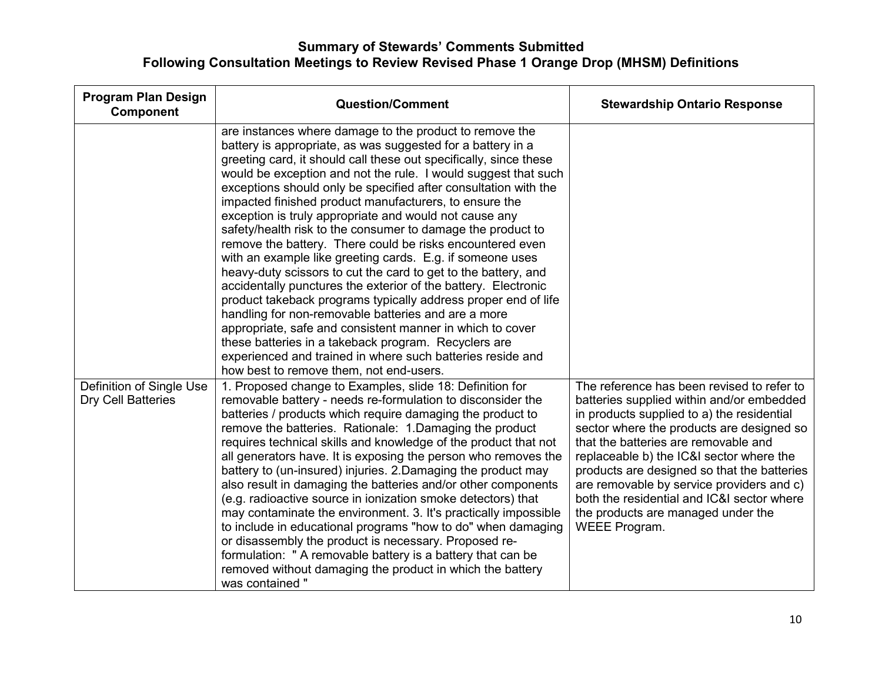| <b>Program Plan Design</b><br><b>Component</b> | <b>Question/Comment</b>                                                                                                                                                                                                                                                                                                                                                                                                                                                                                                                                                                                                                                                                                                                                                                                                                                                                                                                                                                                                                                                                                                                  | <b>Stewardship Ontario Response</b>                                                                                                                                                                                                                                                                                                                                                                                                                                     |
|------------------------------------------------|------------------------------------------------------------------------------------------------------------------------------------------------------------------------------------------------------------------------------------------------------------------------------------------------------------------------------------------------------------------------------------------------------------------------------------------------------------------------------------------------------------------------------------------------------------------------------------------------------------------------------------------------------------------------------------------------------------------------------------------------------------------------------------------------------------------------------------------------------------------------------------------------------------------------------------------------------------------------------------------------------------------------------------------------------------------------------------------------------------------------------------------|-------------------------------------------------------------------------------------------------------------------------------------------------------------------------------------------------------------------------------------------------------------------------------------------------------------------------------------------------------------------------------------------------------------------------------------------------------------------------|
|                                                | are instances where damage to the product to remove the<br>battery is appropriate, as was suggested for a battery in a<br>greeting card, it should call these out specifically, since these<br>would be exception and not the rule. I would suggest that such<br>exceptions should only be specified after consultation with the<br>impacted finished product manufacturers, to ensure the<br>exception is truly appropriate and would not cause any<br>safety/health risk to the consumer to damage the product to<br>remove the battery. There could be risks encountered even<br>with an example like greeting cards. E.g. if someone uses<br>heavy-duty scissors to cut the card to get to the battery, and<br>accidentally punctures the exterior of the battery. Electronic<br>product takeback programs typically address proper end of life<br>handling for non-removable batteries and are a more<br>appropriate, safe and consistent manner in which to cover<br>these batteries in a takeback program. Recyclers are<br>experienced and trained in where such batteries reside and<br>how best to remove them, not end-users. |                                                                                                                                                                                                                                                                                                                                                                                                                                                                         |
| Definition of Single Use<br>Dry Cell Batteries | 1. Proposed change to Examples, slide 18: Definition for<br>removable battery - needs re-formulation to disconsider the<br>batteries / products which require damaging the product to<br>remove the batteries. Rationale: 1.Damaging the product<br>requires technical skills and knowledge of the product that not<br>all generators have. It is exposing the person who removes the<br>battery to (un-insured) injuries. 2. Damaging the product may<br>also result in damaging the batteries and/or other components<br>(e.g. radioactive source in ionization smoke detectors) that<br>may contaminate the environment. 3. It's practically impossible<br>to include in educational programs "how to do" when damaging<br>or disassembly the product is necessary. Proposed re-<br>formulation: " A removable battery is a battery that can be<br>removed without damaging the product in which the battery<br>was contained "                                                                                                                                                                                                       | The reference has been revised to refer to<br>batteries supplied within and/or embedded<br>in products supplied to a) the residential<br>sector where the products are designed so<br>that the batteries are removable and<br>replaceable b) the IC&I sector where the<br>products are designed so that the batteries<br>are removable by service providers and c)<br>both the residential and IC&I sector where<br>the products are managed under the<br>WEEE Program. |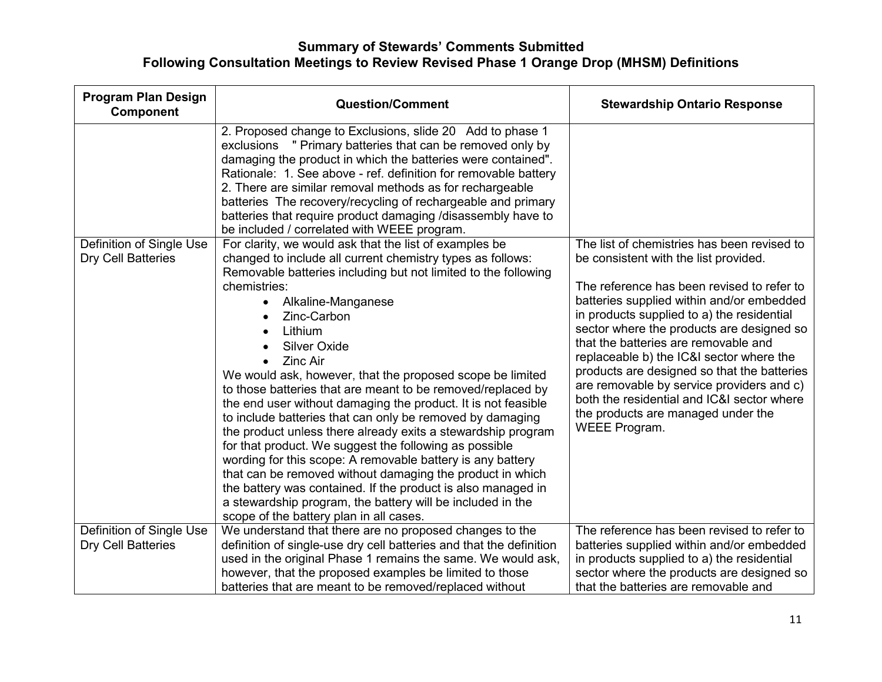| <b>Program Plan Design</b><br><b>Component</b> | <b>Question/Comment</b>                                                                                                                                                                                                                                                                                                                                                                                                                                                                                                                                                                                                                                                                                                                                                                                                                                                                                                                                  | <b>Stewardship Ontario Response</b>                                                                                                                                                                                                                                                                                                                                                                                                                                                                              |
|------------------------------------------------|----------------------------------------------------------------------------------------------------------------------------------------------------------------------------------------------------------------------------------------------------------------------------------------------------------------------------------------------------------------------------------------------------------------------------------------------------------------------------------------------------------------------------------------------------------------------------------------------------------------------------------------------------------------------------------------------------------------------------------------------------------------------------------------------------------------------------------------------------------------------------------------------------------------------------------------------------------|------------------------------------------------------------------------------------------------------------------------------------------------------------------------------------------------------------------------------------------------------------------------------------------------------------------------------------------------------------------------------------------------------------------------------------------------------------------------------------------------------------------|
| Definition of Single Use                       | 2. Proposed change to Exclusions, slide 20 Add to phase 1<br>exclusions " Primary batteries that can be removed only by<br>damaging the product in which the batteries were contained".<br>Rationale: 1. See above - ref. definition for removable battery<br>2. There are similar removal methods as for rechargeable<br>batteries The recovery/recycling of rechargeable and primary<br>batteries that require product damaging /disassembly have to<br>be included / correlated with WEEE program.<br>For clarity, we would ask that the list of examples be                                                                                                                                                                                                                                                                                                                                                                                          | The list of chemistries has been revised to                                                                                                                                                                                                                                                                                                                                                                                                                                                                      |
| Dry Cell Batteries                             | changed to include all current chemistry types as follows:<br>Removable batteries including but not limited to the following<br>chemistries:<br>Alkaline-Manganese<br>$\bullet$<br>Zinc-Carbon<br>Lithium<br><b>Silver Oxide</b><br><b>Zinc Air</b><br>$\bullet$<br>We would ask, however, that the proposed scope be limited<br>to those batteries that are meant to be removed/replaced by<br>the end user without damaging the product. It is not feasible<br>to include batteries that can only be removed by damaging<br>the product unless there already exits a stewardship program<br>for that product. We suggest the following as possible<br>wording for this scope: A removable battery is any battery<br>that can be removed without damaging the product in which<br>the battery was contained. If the product is also managed in<br>a stewardship program, the battery will be included in the<br>scope of the battery plan in all cases. | be consistent with the list provided.<br>The reference has been revised to refer to<br>batteries supplied within and/or embedded<br>in products supplied to a) the residential<br>sector where the products are designed so<br>that the batteries are removable and<br>replaceable b) the IC&I sector where the<br>products are designed so that the batteries<br>are removable by service providers and c)<br>both the residential and IC&I sector where<br>the products are managed under the<br>WEEE Program. |
| Definition of Single Use<br>Dry Cell Batteries | We understand that there are no proposed changes to the<br>definition of single-use dry cell batteries and that the definition                                                                                                                                                                                                                                                                                                                                                                                                                                                                                                                                                                                                                                                                                                                                                                                                                           | The reference has been revised to refer to<br>batteries supplied within and/or embedded                                                                                                                                                                                                                                                                                                                                                                                                                          |
|                                                | used in the original Phase 1 remains the same. We would ask,<br>however, that the proposed examples be limited to those<br>batteries that are meant to be removed/replaced without                                                                                                                                                                                                                                                                                                                                                                                                                                                                                                                                                                                                                                                                                                                                                                       | in products supplied to a) the residential<br>sector where the products are designed so<br>that the batteries are removable and                                                                                                                                                                                                                                                                                                                                                                                  |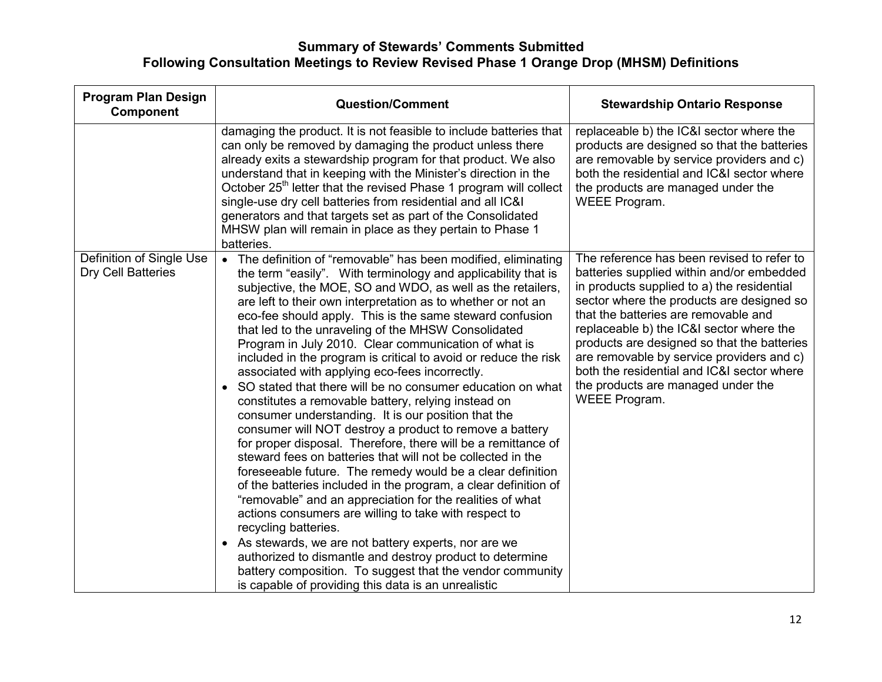| <b>Program Plan Design</b><br><b>Component</b> | <b>Question/Comment</b>                                                                                                                                                                                                                                                                                                                                                                                                                                                                                                                                                                                                                                                                                                                                                                                                                                                                                                                                                                                                                                                                                                                                                                                                                                                                                                                                                                                                                                                                         | <b>Stewardship Ontario Response</b>                                                                                                                                                                                                                                                                                                                                                                                                                                     |
|------------------------------------------------|-------------------------------------------------------------------------------------------------------------------------------------------------------------------------------------------------------------------------------------------------------------------------------------------------------------------------------------------------------------------------------------------------------------------------------------------------------------------------------------------------------------------------------------------------------------------------------------------------------------------------------------------------------------------------------------------------------------------------------------------------------------------------------------------------------------------------------------------------------------------------------------------------------------------------------------------------------------------------------------------------------------------------------------------------------------------------------------------------------------------------------------------------------------------------------------------------------------------------------------------------------------------------------------------------------------------------------------------------------------------------------------------------------------------------------------------------------------------------------------------------|-------------------------------------------------------------------------------------------------------------------------------------------------------------------------------------------------------------------------------------------------------------------------------------------------------------------------------------------------------------------------------------------------------------------------------------------------------------------------|
|                                                | damaging the product. It is not feasible to include batteries that<br>can only be removed by damaging the product unless there<br>already exits a stewardship program for that product. We also<br>understand that in keeping with the Minister's direction in the<br>October 25 <sup>th</sup> letter that the revised Phase 1 program will collect<br>single-use dry cell batteries from residential and all IC&I<br>generators and that targets set as part of the Consolidated<br>MHSW plan will remain in place as they pertain to Phase 1<br>batteries.                                                                                                                                                                                                                                                                                                                                                                                                                                                                                                                                                                                                                                                                                                                                                                                                                                                                                                                                    | replaceable b) the IC&I sector where the<br>products are designed so that the batteries<br>are removable by service providers and c)<br>both the residential and IC&I sector where<br>the products are managed under the<br>WEEE Program.                                                                                                                                                                                                                               |
| Definition of Single Use<br>Dry Cell Batteries | The definition of "removable" has been modified, eliminating<br>$\bullet$<br>the term "easily". With terminology and applicability that is<br>subjective, the MOE, SO and WDO, as well as the retailers,<br>are left to their own interpretation as to whether or not an<br>eco-fee should apply. This is the same steward confusion<br>that led to the unraveling of the MHSW Consolidated<br>Program in July 2010. Clear communication of what is<br>included in the program is critical to avoid or reduce the risk<br>associated with applying eco-fees incorrectly.<br>SO stated that there will be no consumer education on what<br>$\bullet$<br>constitutes a removable battery, relying instead on<br>consumer understanding. It is our position that the<br>consumer will NOT destroy a product to remove a battery<br>for proper disposal. Therefore, there will be a remittance of<br>steward fees on batteries that will not be collected in the<br>foreseeable future. The remedy would be a clear definition<br>of the batteries included in the program, a clear definition of<br>"removable" and an appreciation for the realities of what<br>actions consumers are willing to take with respect to<br>recycling batteries.<br>As stewards, we are not battery experts, nor are we<br>$\bullet$<br>authorized to dismantle and destroy product to determine<br>battery composition. To suggest that the vendor community<br>is capable of providing this data is an unrealistic | The reference has been revised to refer to<br>batteries supplied within and/or embedded<br>in products supplied to a) the residential<br>sector where the products are designed so<br>that the batteries are removable and<br>replaceable b) the IC&I sector where the<br>products are designed so that the batteries<br>are removable by service providers and c)<br>both the residential and IC&I sector where<br>the products are managed under the<br>WEEE Program. |